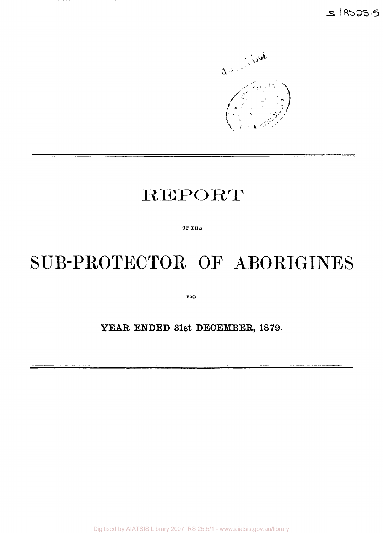

## REPORT

**OF THE** 

# SUB-PROTECTOR OF ABORIGINES

**FOR** 

### YEAR ENDED 31st DECEMBER, 1879.

Digitised by AIATSIS Library 2007, RS 25.5/1 - www.aiatsis.gov.au/library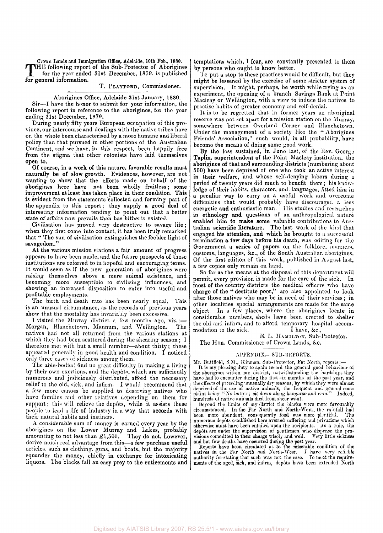Crown Lands and Immigration Office, Adelaide, 10th Fob., 1880. THE following report of the Sub-Protector of Aborigines<br>for the year ended 31st December, 1879, is published<br>for general information HE following report of the Sub-Protector of Aborigines for general information.

#### T. PLATFOKD, Commissioner.

#### Aborigines Office, Adelaide 31st January, 1880.

Sir—I have the honor to submit for your information, the following report in reference to the aborigines, for the year ending 31st December, 1879,

During nearly fifty years European occupation of this province, our intercourse and dealings with the native tribes have on the whole been characterised by a more humane and liberal policy than that pursued in other portions of the Australian Continent, and we have, in this respect, been happily free from the stigma that other colonists have laid themselves open to.

Of course, in a work of this nature, favorable results must naturally be of slow growth. Evidences, however, are not wanting to show that the efforts made on behalf of the aborigines here have not been wholly fruitless; some improvement at least has taken place in their condition. This is evident from the statements collected and forming part of the appendix to this report; they supply a good deal of interesting information tending to point out that a better state of affairs now prevails than has hitherto existed.

Civilisation has proved very destructive to savage life; when they first come into contact, it has been truly remarked that " The sun of civilisation extinguishes the feebler light of savagedom."

At the various mission stations a fair amount of progress appears to have been made, and the future prospects of these institutions are referred to in hopeful and encouraging terms. It would seem as if the new generation of aborigines were raising themselves above a mere animal existence, and becoming more susceptible to civilising influences, and showing an increased disposition to enter into useful and profitable employments.

The birth and death rate has been nearly equal. This is an unusual circumstance, as the records of previous years show that the mortality has invariably been excessive.

T visited the Murray district a few months ago, viz.:— Morgan, Blanchetown, Mannum, and Wellington. The natives had not all returned from the various stations at which they had been scattered during the shearing season: I therefore met with but a small number—about thirty; these appeared generally in good health and condition. I noticed only three cases of sickness among them.

The able-bodied find no great difficulty in making a living by their own exertions, and the depots, which are sufficiently numerous and judiciously distributed, afford the necessary relief to the old, sick, and infirm. I would recommend that a few more canoes be supplied to deserving natives who have families and other relatives depending on them for support; this will relieve the depôts, while it assists these people to lead a life of industry in a way that accords with their natural habits and instincts.

A considerable sum of money is earned every year by the aborigines on the Lower Murray and Lakes, probably amounting to not less than  $\pounds1,500$ . They do not, however, derive much real advantage from this—a few purchase useful articles, such as clothing, guns, and boats, but the majority squander the money, chiefly in exchange for intoxicating liquors. The blacks fall an easy prey to the enticements and

temptations which, I fear, are constantly presented to them by persons who ought to know better.

1 o put a stop to these practices would be difficult, but they might be lessened by the exercise of some stricter system of supervision. It might, perhaps, be worth while trying as an experiment, the opening of a branch Savings Bank at Point Macleay or Wellington, with a view to induce the natives to practise habits of greater economy and self-denial.

It is to be regretted that in former years an aboriginal reserve was not set apart for a mission station on the Murray, somewhere between Overland Corner and Blanchetown. Under the management of a society like the " Aborigines Friends' Association," such would, in all probability, have become the means of doing some good work.

By the loss sustained, in June last, of the Rev. George Taplin, superintendent of the Point Macleay institution, the aborigines of that and surrounding districts (numbering about 500) have been deprived of one who took an active interest in their welfare, and whose self-denying labors during a period of twenty years did much to benefit them; his knowledge of their habits, character, and languages, fitted him in. a peculiar way to carry on a useful work and overcome difficulties that would probably have discouraged a less energetic and enthusiastic man. His studies and researches in ethnology and questions of an anthropological nature enabled him to make some valuable contributions to Australian scientific literature. The last work of the kind that engaged his attention, and which he brought to a successful termination a few days before his death, was editing for the Government a series of papers on the folklore, manners, customs, languages, &c., of the South Australian aborigines. Of the first edition of this work, published in August last, a few copies only remain on hand.

So far as the means at the disposal of this department will permit, every provision is made for the care of the sick. In most of the country districts the medical officers who have charge of the " destitute poor," arc also appointed to look after those natives who may be in need of their services; in other localities special arrangements are made for the same object. In a few places, where the aborigines locate in considerable numbers, sheds have been erected to shelter the old and infirm, and to afford temporary hospital accommodation to the sick. I have, &c.,

E. L. HAMILTON, Sub-Protector.

The Hon. Commissioner of Crown Lands, &c.

#### APPENDIX.—SUB-REPORTS.

Mr. Buttfield, S.M., Blinman, Sub-Protector, Far North, reports:-It is my pleasing duty to again record the general good behaviour of<br>the aborigines within my district, notwithstanding the hardships they<br>have had to encounter during the first six months of the past year, and<br>the effects deprived of the use of native animals, the frequent and general com-<br>plaint being "No butter ; sit down along kangaroo and emu." Indeed,<br>hundreds of native animals died from sheer want.

Beyond the limits of my district tho blacks were more favourably circumstanced. In the Far North and North-West,, the rainfall had been more abundant, consequently food was more plentiful. The numerous depôts established here averted suffering and privations which otherwise must, havo been entailed upon the recipients. As *a* rule, tho depôts are under the supervision of gentlemen who dispense the provisions committed to their charge wisely and well. Very little sickness and but few deaths have occurred during the past year. Reports have been circulated

natives in the Far North and North-West. I havo very reliablo authority for stating that such was not tho case. To meet tho requirements of the aged, sick, and infirm, depots have been extended North